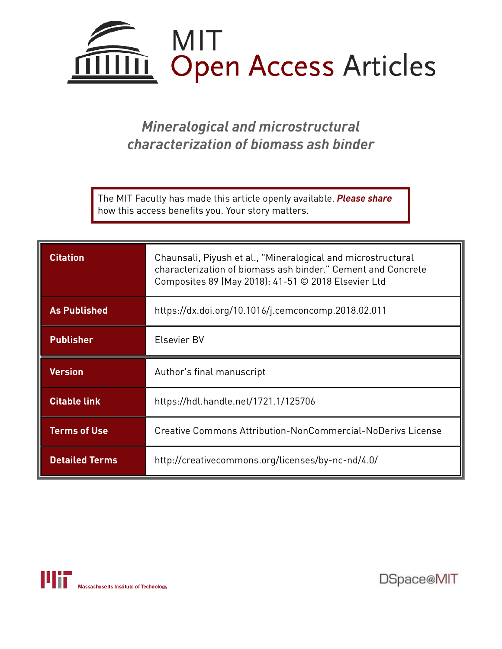

# *Mineralogical and microstructural characterization of biomass ash binder*

The MIT Faculty has made this article openly available. *Please share*  how this access benefits you. Your story matters.

| <b>Citation</b>       | Chaunsali, Piyush et al., "Mineralogical and microstructural<br>characterization of biomass ash binder." Cement and Concrete<br>Composites 89 (May 2018): 41-51 © 2018 Elsevier Ltd |
|-----------------------|-------------------------------------------------------------------------------------------------------------------------------------------------------------------------------------|
| <b>As Published</b>   | https://dx.doi.org/10.1016/j.cemconcomp.2018.02.011                                                                                                                                 |
| <b>Publisher</b>      | Elsevier BV                                                                                                                                                                         |
| <b>Version</b>        | Author's final manuscript                                                                                                                                                           |
| <b>Citable link</b>   | https://hdl.handle.net/1721.1/125706                                                                                                                                                |
| <b>Terms of Use</b>   | Creative Commons Attribution-NonCommercial-NoDerivs License                                                                                                                         |
| <b>Detailed Terms</b> | http://creativecommons.org/licenses/by-nc-nd/4.0/                                                                                                                                   |



DSpace@MIT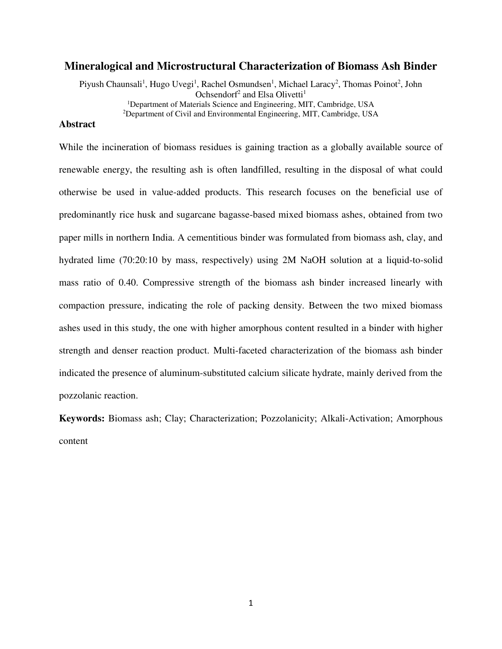# **Mineralogical and Microstructural Characterization of Biomass Ash Binder**

Piyush Chaunsali<sup>1</sup>, Hugo Uvegi<sup>1</sup>, Rachel Osmundsen<sup>1</sup>, Michael Laracy<sup>2</sup>, Thomas Poinot<sup>2</sup>, John Ochsendorf<sup>2</sup> and Elsa Olivetti<sup>1</sup> <sup>1</sup>Department of Materials Science and Engineering, MIT, Cambridge, USA <sup>2</sup>Department of Civil and Environmental Engineering, MIT, Cambridge, USA

# **Abstract**

While the incineration of biomass residues is gaining traction as a globally available source of renewable energy, the resulting ash is often landfilled, resulting in the disposal of what could otherwise be used in value-added products. This research focuses on the beneficial use of predominantly rice husk and sugarcane bagasse-based mixed biomass ashes, obtained from two paper mills in northern India. A cementitious binder was formulated from biomass ash, clay, and hydrated lime (70:20:10 by mass, respectively) using 2M NaOH solution at a liquid-to-solid mass ratio of 0.40. Compressive strength of the biomass ash binder increased linearly with compaction pressure, indicating the role of packing density. Between the two mixed biomass ashes used in this study, the one with higher amorphous content resulted in a binder with higher strength and denser reaction product. Multi-faceted characterization of the biomass ash binder indicated the presence of aluminum-substituted calcium silicate hydrate, mainly derived from the pozzolanic reaction.

**Keywords:** Biomass ash; Clay; Characterization; Pozzolanicity; Alkali-Activation; Amorphous content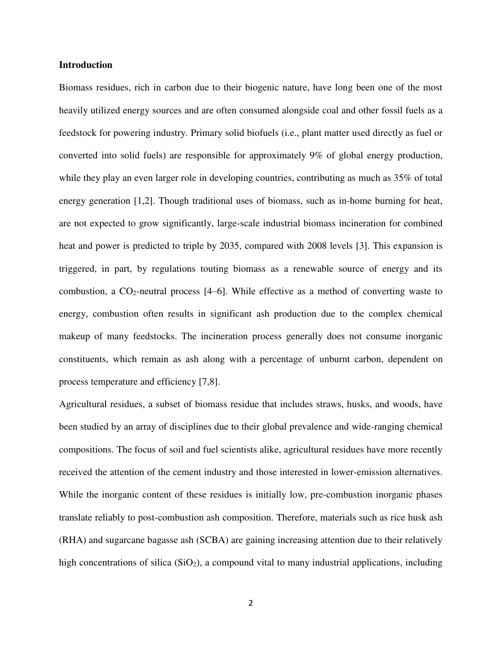## **Introduction**

Biomass residues, rich in carbon due to their biogenic nature, have long been one of the most heavily utilized energy sources and are often consumed alongside coal and other fossil fuels as a feedstock for powering industry. Primary solid biofuels (i.e., plant matter used directly as fuel or converted into solid fuels) are responsible for approximately 9% of global energy production, while they play an even larger role in developing countries, contributing as much as 35% of total energy generation [1,2]. Though traditional uses of biomass, such as in-home burning for heat, are not expected to grow significantly, large-scale industrial biomass incineration for combined heat and power is predicted to triple by 2035, compared with 2008 levels [3]. This expansion is triggered, in part, by regulations touting biomass as a renewable source of energy and its combustion, a  $CO_2$ -neutral process [4–6]. While effective as a method of converting waste to energy, combustion often results in significant ash production due to the complex chemical makeup of many feedstocks. The incineration process generally does not consume inorganic constituents, which remain as ash along with a percentage of unburnt carbon, dependent on process temperature and efficiency [7,8].

Agricultural residues, a subset of biomass residue that includes straws, husks, and woods, have been studied by an array of disciplines due to their global prevalence and wide-ranging chemical compositions. The focus of soil and fuel scientists alike, agricultural residues have more recently received the attention of the cement industry and those interested in lower-emission alternatives. While the inorganic content of these residues is initially low, pre-combustion inorganic phases translate reliably to post-combustion ash composition. Therefore, materials such as rice husk ash (RHA) and sugarcane bagasse ash (SCBA) are gaining increasing attention due to their relatively high concentrations of silica  $(SiO<sub>2</sub>)$ , a compound vital to many industrial applications, including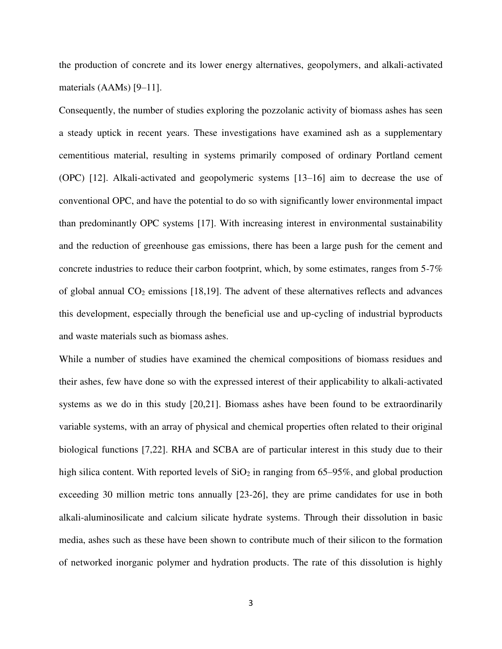the production of concrete and its lower energy alternatives, geopolymers, and alkali-activated materials (AAMs) [9–11].

Consequently, the number of studies exploring the pozzolanic activity of biomass ashes has seen a steady uptick in recent years. These investigations have examined ash as a supplementary cementitious material, resulting in systems primarily composed of ordinary Portland cement (OPC) [12]. Alkali-activated and geopolymeric systems [13–16] aim to decrease the use of conventional OPC, and have the potential to do so with significantly lower environmental impact than predominantly OPC systems [17]. With increasing interest in environmental sustainability and the reduction of greenhouse gas emissions, there has been a large push for the cement and concrete industries to reduce their carbon footprint, which, by some estimates, ranges from 5-7% of global annual  $CO<sub>2</sub>$  emissions [18,19]. The advent of these alternatives reflects and advances this development, especially through the beneficial use and up-cycling of industrial byproducts and waste materials such as biomass ashes.

While a number of studies have examined the chemical compositions of biomass residues and their ashes, few have done so with the expressed interest of their applicability to alkali-activated systems as we do in this study [20,21]. Biomass ashes have been found to be extraordinarily variable systems, with an array of physical and chemical properties often related to their original biological functions [7,22]. RHA and SCBA are of particular interest in this study due to their high silica content. With reported levels of  $SiO<sub>2</sub>$  in ranging from 65–95%, and global production exceeding 30 million metric tons annually [23-26], they are prime candidates for use in both alkali-aluminosilicate and calcium silicate hydrate systems. Through their dissolution in basic media, ashes such as these have been shown to contribute much of their silicon to the formation of networked inorganic polymer and hydration products. The rate of this dissolution is highly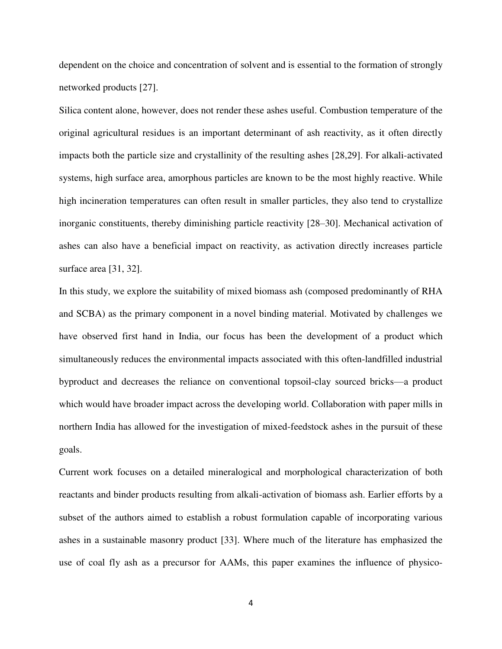dependent on the choice and concentration of solvent and is essential to the formation of strongly networked products [27].

Silica content alone, however, does not render these ashes useful. Combustion temperature of the original agricultural residues is an important determinant of ash reactivity, as it often directly impacts both the particle size and crystallinity of the resulting ashes [28,29]. For alkali-activated systems, high surface area, amorphous particles are known to be the most highly reactive. While high incineration temperatures can often result in smaller particles, they also tend to crystallize inorganic constituents, thereby diminishing particle reactivity [28–30]. Mechanical activation of ashes can also have a beneficial impact on reactivity, as activation directly increases particle surface area [31, 32].

In this study, we explore the suitability of mixed biomass ash (composed predominantly of RHA and SCBA) as the primary component in a novel binding material. Motivated by challenges we have observed first hand in India, our focus has been the development of a product which simultaneously reduces the environmental impacts associated with this often-landfilled industrial byproduct and decreases the reliance on conventional topsoil-clay sourced bricks—a product which would have broader impact across the developing world. Collaboration with paper mills in northern India has allowed for the investigation of mixed-feedstock ashes in the pursuit of these goals.

Current work focuses on a detailed mineralogical and morphological characterization of both reactants and binder products resulting from alkali-activation of biomass ash. Earlier efforts by a subset of the authors aimed to establish a robust formulation capable of incorporating various ashes in a sustainable masonry product [33]. Where much of the literature has emphasized the use of coal fly ash as a precursor for AAMs, this paper examines the influence of physico-

4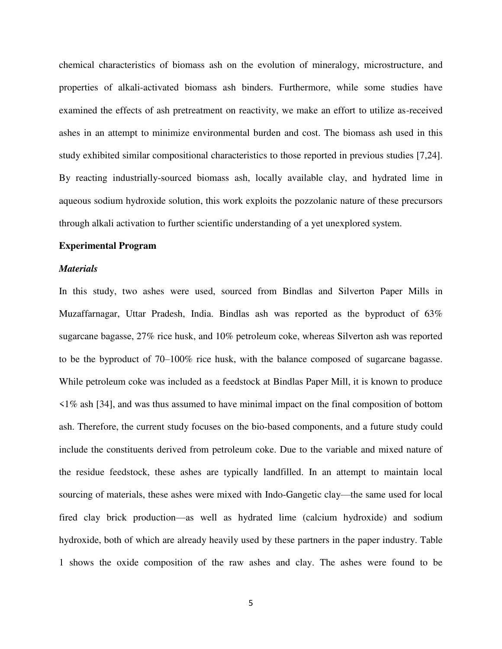chemical characteristics of biomass ash on the evolution of mineralogy, microstructure, and properties of alkali-activated biomass ash binders. Furthermore, while some studies have examined the effects of ash pretreatment on reactivity, we make an effort to utilize as-received ashes in an attempt to minimize environmental burden and cost. The biomass ash used in this study exhibited similar compositional characteristics to those reported in previous studies [7,24]. By reacting industrially-sourced biomass ash, locally available clay, and hydrated lime in aqueous sodium hydroxide solution, this work exploits the pozzolanic nature of these precursors through alkali activation to further scientific understanding of a yet unexplored system.

#### **Experimental Program**

### *Materials*

In this study, two ashes were used, sourced from Bindlas and Silverton Paper Mills in Muzaffarnagar, Uttar Pradesh, India. Bindlas ash was reported as the byproduct of 63% sugarcane bagasse, 27% rice husk, and 10% petroleum coke, whereas Silverton ash was reported to be the byproduct of 70–100% rice husk, with the balance composed of sugarcane bagasse. While petroleum coke was included as a feedstock at Bindlas Paper Mill, it is known to produce <1% ash [34], and was thus assumed to have minimal impact on the final composition of bottom ash. Therefore, the current study focuses on the bio-based components, and a future study could include the constituents derived from petroleum coke. Due to the variable and mixed nature of the residue feedstock, these ashes are typically landfilled. In an attempt to maintain local sourcing of materials, these ashes were mixed with Indo-Gangetic clay—the same used for local fired clay brick production—as well as hydrated lime (calcium hydroxide) and sodium hydroxide, both of which are already heavily used by these partners in the paper industry. Table 1 shows the oxide composition of the raw ashes and clay. The ashes were found to be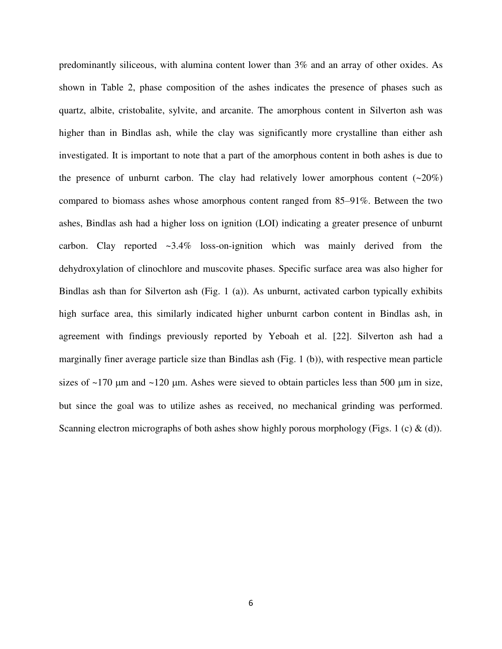predominantly siliceous, with alumina content lower than 3% and an array of other oxides. As shown in Table 2, phase composition of the ashes indicates the presence of phases such as quartz, albite, cristobalite, sylvite, and arcanite. The amorphous content in Silverton ash was higher than in Bindlas ash, while the clay was significantly more crystalline than either ash investigated. It is important to note that a part of the amorphous content in both ashes is due to the presence of unburnt carbon. The clay had relatively lower amorphous content  $(-20\%)$ compared to biomass ashes whose amorphous content ranged from 85–91%. Between the two ashes, Bindlas ash had a higher loss on ignition (LOI) indicating a greater presence of unburnt carbon. Clay reported  $\sim$ 3.4% loss-on-ignition which was mainly derived from the dehydroxylation of clinochlore and muscovite phases. Specific surface area was also higher for Bindlas ash than for Silverton ash (Fig. 1 (a)). As unburnt, activated carbon typically exhibits high surface area, this similarly indicated higher unburnt carbon content in Bindlas ash, in agreement with findings previously reported by Yeboah et al. [22]. Silverton ash had a marginally finer average particle size than Bindlas ash (Fig. 1 (b)), with respective mean particle sizes of  $\sim$ 170 µm and  $\sim$ 120 µm. Ashes were sieved to obtain particles less than 500 µm in size, but since the goal was to utilize ashes as received, no mechanical grinding was performed. Scanning electron micrographs of both ashes show highly porous morphology (Figs. 1 (c)  $\&$  (d)).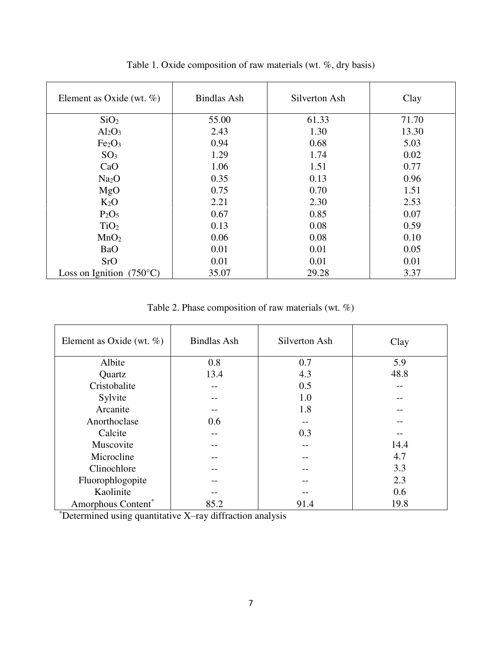| Element as Oxide (wt. $\%$ )      | <b>Bindlas Ash</b> | Silverton Ash | Clay  |
|-----------------------------------|--------------------|---------------|-------|
| SiO <sub>2</sub>                  | 55.00              | 61.33         | 71.70 |
| $Al_2O_3$                         | 2.43               | 1.30          | 13.30 |
| Fe <sub>2</sub> O <sub>3</sub>    | 0.94               | 0.68          | 5.03  |
| SO <sub>3</sub>                   | 1.29               | 1.74          | 0.02  |
| CaO                               | 1.06               | 1.51          | 0.77  |
| Na <sub>2</sub> O                 | 0.35               | 0.13          | 0.96  |
| MgO                               | 0.75               | 0.70          | 1.51  |
| $K_2O$                            | 2.21               | 2.30          | 2.53  |
| $P_2O_5$                          | 0.67               | 0.85          | 0.07  |
| TiO <sub>2</sub>                  | 0.13               | 0.08          | 0.59  |
| MnO <sub>2</sub>                  | 0.06               | 0.08          | 0.10  |
| <b>BaO</b>                        | 0.01               | 0.01          | 0.05  |
| SrO                               | 0.01               | 0.01          | 0.01  |
| Loss on Ignition $(750^{\circ}C)$ | 35.07              | 29.28         | 3.37  |

Table 1. Oxide composition of raw materials (wt. %, dry basis)

Table 2. Phase composition of raw materials (wt. %)

| Element as Oxide (wt. $\%$ ) | <b>Bindlas Ash</b> | Silverton Ash | Clay |
|------------------------------|--------------------|---------------|------|
| Albite                       | 0.8                | 0.7           | 5.9  |
| Quartz                       | 13.4               | 4.3           | 48.8 |
| Cristobalite                 |                    | 0.5           |      |
| Sylvite                      |                    | 1.0           |      |
| Arcanite                     |                    | 1.8           |      |
| Anorthoclase                 | 0.6                |               |      |
| Calcite                      |                    | 0.3           |      |
| Muscovite                    |                    |               | 14.4 |
| Microcline                   |                    |               | 4.7  |
| Clinochlore                  |                    |               | 3.3  |
| Fluorophlogopite             |                    |               | 2.3  |
| Kaolinite                    |                    |               | 0.6  |
| Amorphous Content*           | 85.2               | 91.4          | 19.8 |

 $"Determine$ d using quantitative X-ray diffraction analysis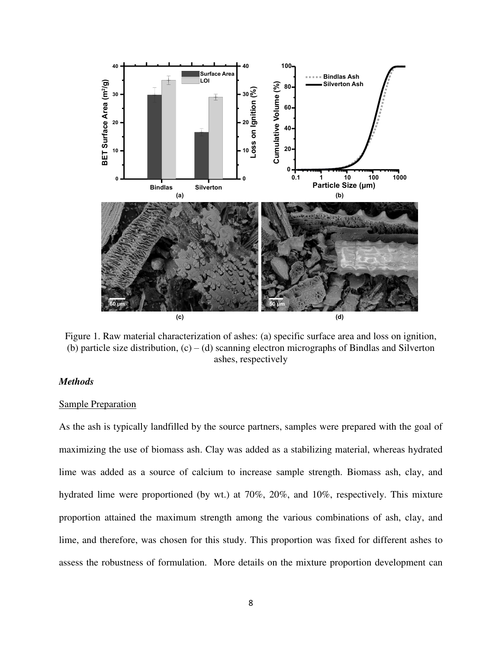

Figure 1. Raw material characterization of ashes: (a) specific surface area and loss on ignition, (b) particle size distribution,  $(c) - (d)$  scanning electron micrographs of Bindlas and Silverton ashes, respectively

# *Methods*

# Sample Preparation

As the ash is typically landfilled by the source partners, samples were prepared with the goal of maximizing the use of biomass ash. Clay was added as a stabilizing material, whereas hydrated lime was added as a source of calcium to increase sample strength. Biomass ash, clay, and hydrated lime were proportioned (by wt.) at 70%, 20%, and 10%, respectively. This mixture proportion attained the maximum strength among the various combinations of ash, clay, and lime, and therefore, was chosen for this study. This proportion was fixed for different ashes to assess the robustness of formulation. More details on the mixture proportion development can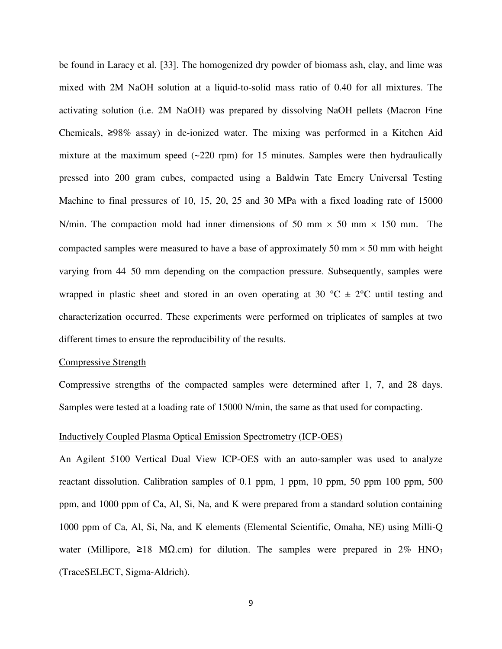be found in Laracy et al. [33]. The homogenized dry powder of biomass ash, clay, and lime was mixed with 2M NaOH solution at a liquid-to-solid mass ratio of 0.40 for all mixtures. The activating solution (i.e. 2M NaOH) was prepared by dissolving NaOH pellets (Macron Fine Chemicals, ≥98% assay) in de-ionized water. The mixing was performed in a Kitchen Aid mixture at the maximum speed  $(-220$  rpm) for 15 minutes. Samples were then hydraulically pressed into 200 gram cubes, compacted using a Baldwin Tate Emery Universal Testing Machine to final pressures of 10, 15, 20, 25 and 30 MPa with a fixed loading rate of 15000 N/min. The compaction mold had inner dimensions of 50 mm  $\times$  50 mm  $\times$  150 mm. The compacted samples were measured to have a base of approximately 50 mm  $\times$  50 mm with height varying from 44–50 mm depending on the compaction pressure. Subsequently, samples were wrapped in plastic sheet and stored in an oven operating at 30  $^{\circ}$ C  $\pm$  2 $^{\circ}$ C until testing and characterization occurred. These experiments were performed on triplicates of samples at two different times to ensure the reproducibility of the results.

#### Compressive Strength

Compressive strengths of the compacted samples were determined after 1, 7, and 28 days. Samples were tested at a loading rate of 15000 N/min, the same as that used for compacting.

#### Inductively Coupled Plasma Optical Emission Spectrometry (ICP-OES)

An Agilent 5100 Vertical Dual View ICP-OES with an auto-sampler was used to analyze reactant dissolution. Calibration samples of 0.1 ppm, 1 ppm, 10 ppm, 50 ppm 100 ppm, 500 ppm, and 1000 ppm of Ca, Al, Si, Na, and K were prepared from a standard solution containing 1000 ppm of Ca, Al, Si, Na, and K elements (Elemental Scientific, Omaha, NE) using Milli-Q water (Millipore,  $\geq 18$  M $\Omega$ .cm) for dilution. The samples were prepared in 2% HNO<sub>3</sub> (TraceSELECT, Sigma-Aldrich).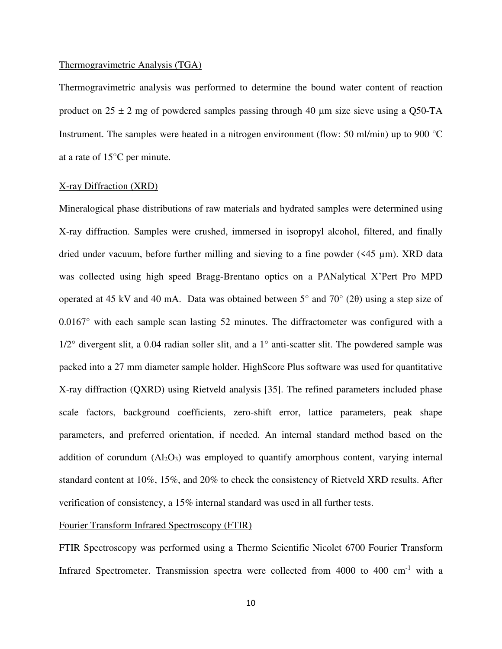#### Thermogravimetric Analysis (TGA)

Thermogravimetric analysis was performed to determine the bound water content of reaction product on  $25 \pm 2$  mg of powdered samples passing through 40 µm size sieve using a Q50-TA Instrument. The samples were heated in a nitrogen environment (flow: 50 ml/min) up to 900 °C at a rate of 15°C per minute.

### X-ray Diffraction (XRD)

Mineralogical phase distributions of raw materials and hydrated samples were determined using X-ray diffraction. Samples were crushed, immersed in isopropyl alcohol, filtered, and finally dried under vacuum, before further milling and sieving to a fine powder (<45 µm). XRD data was collected using high speed Bragg-Brentano optics on a PANalytical X'Pert Pro MPD operated at 45 kV and 40 mA. Data was obtained between  $5^{\circ}$  and  $70^{\circ}$  (2 $\theta$ ) using a step size of 0.0167° with each sample scan lasting 52 minutes. The diffractometer was configured with a 1/2° divergent slit, a 0.04 radian soller slit, and a 1° anti-scatter slit. The powdered sample was packed into a 27 mm diameter sample holder. HighScore Plus software was used for quantitative X-ray diffraction (QXRD) using Rietveld analysis [35]. The refined parameters included phase scale factors, background coefficients, zero-shift error, lattice parameters, peak shape parameters, and preferred orientation, if needed. An internal standard method based on the addition of corundum  $(Al_2O_3)$  was employed to quantify amorphous content, varying internal standard content at 10%, 15%, and 20% to check the consistency of Rietveld XRD results. After verification of consistency, a 15% internal standard was used in all further tests.

## Fourier Transform Infrared Spectroscopy (FTIR)

FTIR Spectroscopy was performed using a Thermo Scientific Nicolet 6700 Fourier Transform Infrared Spectrometer. Transmission spectra were collected from  $4000$  to  $400 \text{ cm}^{-1}$  with a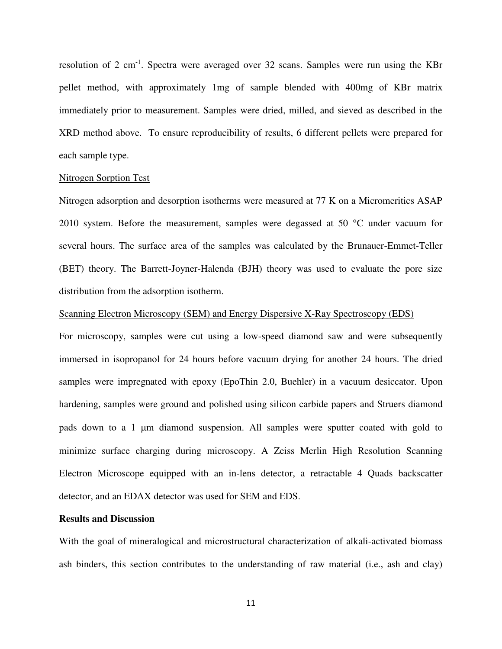resolution of 2 cm<sup>-1</sup>. Spectra were averaged over 32 scans. Samples were run using the KBr pellet method, with approximately 1mg of sample blended with 400mg of KBr matrix immediately prior to measurement. Samples were dried, milled, and sieved as described in the XRD method above. To ensure reproducibility of results, 6 different pellets were prepared for each sample type.

#### Nitrogen Sorption Test

Nitrogen adsorption and desorption isotherms were measured at 77 K on a Micromeritics ASAP 2010 system. Before the measurement, samples were degassed at 50 °C under vacuum for several hours. The surface area of the samples was calculated by the Brunauer-Emmet-Teller (BET) theory. The Barrett-Joyner-Halenda (BJH) theory was used to evaluate the pore size distribution from the adsorption isotherm.

#### Scanning Electron Microscopy (SEM) and Energy Dispersive X-Ray Spectroscopy (EDS)

For microscopy, samples were cut using a low-speed diamond saw and were subsequently immersed in isopropanol for 24 hours before vacuum drying for another 24 hours. The dried samples were impregnated with epoxy (EpoThin 2.0, Buehler) in a vacuum desiccator. Upon hardening, samples were ground and polished using silicon carbide papers and Struers diamond pads down to a 1 µm diamond suspension. All samples were sputter coated with gold to minimize surface charging during microscopy. A Zeiss Merlin High Resolution Scanning Electron Microscope equipped with an in-lens detector, a retractable 4 Quads backscatter detector, and an EDAX detector was used for SEM and EDS.

# **Results and Discussion**

With the goal of mineralogical and microstructural characterization of alkali-activated biomass ash binders, this section contributes to the understanding of raw material (i.e., ash and clay)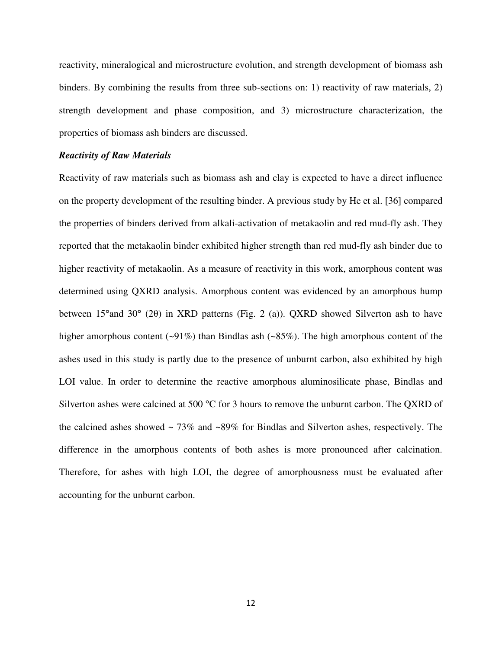reactivity, mineralogical and microstructure evolution, and strength development of biomass ash binders. By combining the results from three sub-sections on: 1) reactivity of raw materials, 2) strength development and phase composition, and 3) microstructure characterization, the properties of biomass ash binders are discussed.

#### *Reactivity of Raw Materials*

Reactivity of raw materials such as biomass ash and clay is expected to have a direct influence on the property development of the resulting binder. A previous study by He et al. [36] compared the properties of binders derived from alkali-activation of metakaolin and red mud-fly ash. They reported that the metakaolin binder exhibited higher strength than red mud-fly ash binder due to higher reactivity of metakaolin. As a measure of reactivity in this work, amorphous content was determined using QXRD analysis. Amorphous content was evidenced by an amorphous hump between 15°and 30° (2 $\theta$ ) in XRD patterns (Fig. 2 (a)). QXRD showed Silverton ash to have higher amorphous content (~91%) than Bindlas ash (~85%). The high amorphous content of the ashes used in this study is partly due to the presence of unburnt carbon, also exhibited by high LOI value. In order to determine the reactive amorphous aluminosilicate phase, Bindlas and Silverton ashes were calcined at 500 °C for 3 hours to remove the unburnt carbon. The QXRD of the calcined ashes showed  $\sim$  73% and  $\sim$ 89% for Bindlas and Silverton ashes, respectively. The difference in the amorphous contents of both ashes is more pronounced after calcination. Therefore, for ashes with high LOI, the degree of amorphousness must be evaluated after accounting for the unburnt carbon.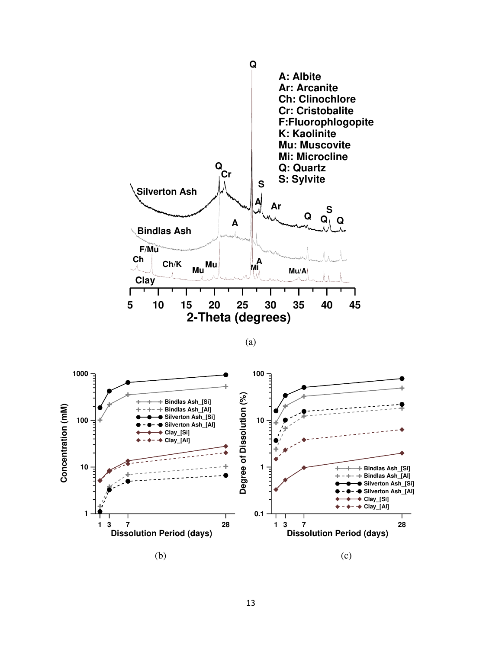

(a)

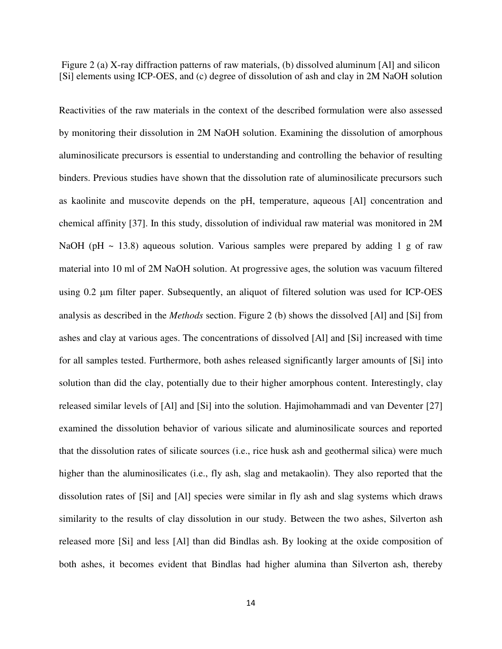Figure 2 (a) X-ray diffraction patterns of raw materials, (b) dissolved aluminum [Al] and silicon [Si] elements using ICP-OES, and (c) degree of dissolution of ash and clay in 2M NaOH solution

Reactivities of the raw materials in the context of the described formulation were also assessed by monitoring their dissolution in 2M NaOH solution. Examining the dissolution of amorphous aluminosilicate precursors is essential to understanding and controlling the behavior of resulting binders. Previous studies have shown that the dissolution rate of aluminosilicate precursors such as kaolinite and muscovite depends on the pH, temperature, aqueous [Al] concentration and chemical affinity [37]. In this study, dissolution of individual raw material was monitored in 2M NaOH (pH  $\sim$  13.8) aqueous solution. Various samples were prepared by adding 1 g of raw material into 10 ml of 2M NaOH solution. At progressive ages, the solution was vacuum filtered using 0.2 µm filter paper. Subsequently, an aliquot of filtered solution was used for ICP-OES analysis as described in the *Methods* section. Figure 2 (b) shows the dissolved [Al] and [Si] from ashes and clay at various ages. The concentrations of dissolved [Al] and [Si] increased with time for all samples tested. Furthermore, both ashes released significantly larger amounts of [Si] into solution than did the clay, potentially due to their higher amorphous content. Interestingly, clay released similar levels of [Al] and [Si] into the solution. Hajimohammadi and van Deventer [27] examined the dissolution behavior of various silicate and aluminosilicate sources and reported that the dissolution rates of silicate sources (i.e., rice husk ash and geothermal silica) were much higher than the aluminosilicates (i.e., fly ash, slag and metakaolin). They also reported that the dissolution rates of [Si] and [Al] species were similar in fly ash and slag systems which draws similarity to the results of clay dissolution in our study. Between the two ashes, Silverton ash released more [Si] and less [Al] than did Bindlas ash. By looking at the oxide composition of both ashes, it becomes evident that Bindlas had higher alumina than Silverton ash, thereby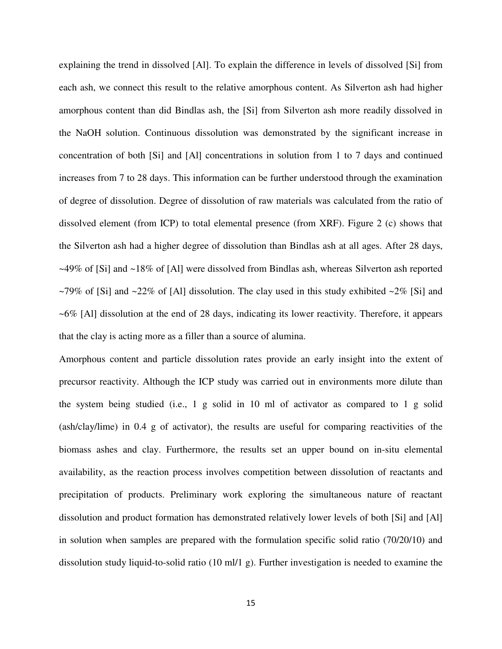explaining the trend in dissolved [Al]. To explain the difference in levels of dissolved [Si] from each ash, we connect this result to the relative amorphous content. As Silverton ash had higher amorphous content than did Bindlas ash, the [Si] from Silverton ash more readily dissolved in the NaOH solution. Continuous dissolution was demonstrated by the significant increase in concentration of both [Si] and [Al] concentrations in solution from 1 to 7 days and continued increases from 7 to 28 days. This information can be further understood through the examination of degree of dissolution. Degree of dissolution of raw materials was calculated from the ratio of dissolved element (from ICP) to total elemental presence (from XRF). Figure 2 (c) shows that the Silverton ash had a higher degree of dissolution than Bindlas ash at all ages. After 28 days, ~49% of [Si] and ~18% of [Al] were dissolved from Bindlas ash, whereas Silverton ash reported  $\sim$ 79% of [Si] and  $\sim$ 22% of [Al] dissolution. The clay used in this study exhibited  $\sim$ 2% [Si] and ~6% [Al] dissolution at the end of 28 days, indicating its lower reactivity. Therefore, it appears that the clay is acting more as a filler than a source of alumina.

Amorphous content and particle dissolution rates provide an early insight into the extent of precursor reactivity. Although the ICP study was carried out in environments more dilute than the system being studied (i.e., 1 g solid in 10 ml of activator as compared to 1 g solid (ash/clay/lime) in 0.4 g of activator), the results are useful for comparing reactivities of the biomass ashes and clay. Furthermore, the results set an upper bound on in-situ elemental availability, as the reaction process involves competition between dissolution of reactants and precipitation of products. Preliminary work exploring the simultaneous nature of reactant dissolution and product formation has demonstrated relatively lower levels of both [Si] and [Al] in solution when samples are prepared with the formulation specific solid ratio (70/20/10) and dissolution study liquid-to-solid ratio (10 ml/1 g). Further investigation is needed to examine the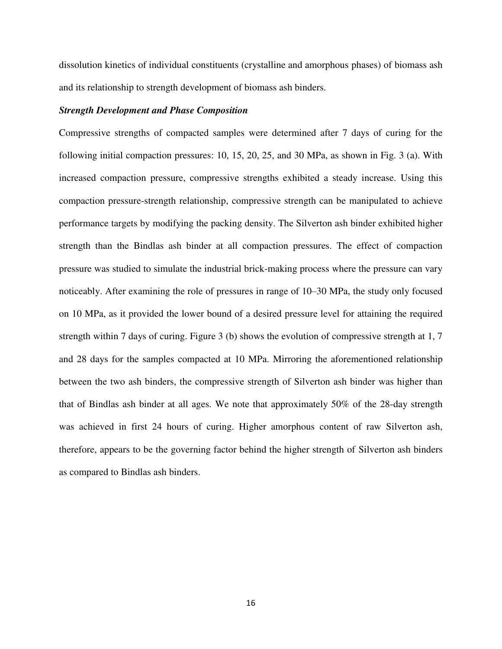dissolution kinetics of individual constituents (crystalline and amorphous phases) of biomass ash and its relationship to strength development of biomass ash binders.

### *Strength Development and Phase Composition*

Compressive strengths of compacted samples were determined after 7 days of curing for the following initial compaction pressures: 10, 15, 20, 25, and 30 MPa, as shown in Fig. 3 (a). With increased compaction pressure, compressive strengths exhibited a steady increase. Using this compaction pressure-strength relationship, compressive strength can be manipulated to achieve performance targets by modifying the packing density. The Silverton ash binder exhibited higher strength than the Bindlas ash binder at all compaction pressures. The effect of compaction pressure was studied to simulate the industrial brick-making process where the pressure can vary noticeably. After examining the role of pressures in range of 10–30 MPa, the study only focused on 10 MPa, as it provided the lower bound of a desired pressure level for attaining the required strength within 7 days of curing. Figure 3 (b) shows the evolution of compressive strength at 1, 7 and 28 days for the samples compacted at 10 MPa. Mirroring the aforementioned relationship between the two ash binders, the compressive strength of Silverton ash binder was higher than that of Bindlas ash binder at all ages. We note that approximately 50% of the 28-day strength was achieved in first 24 hours of curing. Higher amorphous content of raw Silverton ash, therefore, appears to be the governing factor behind the higher strength of Silverton ash binders as compared to Bindlas ash binders.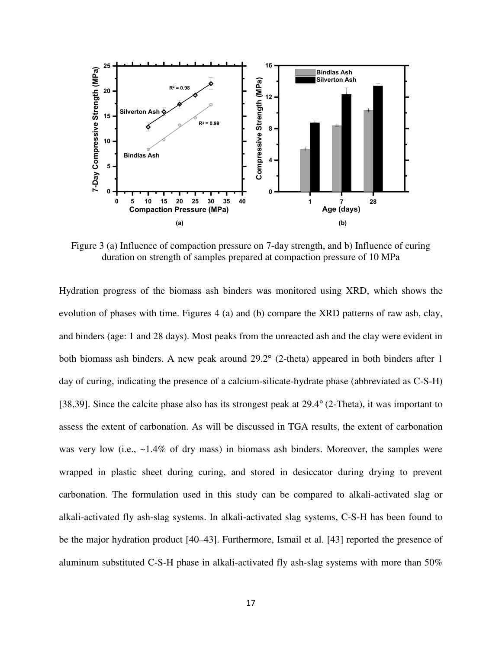

Figure 3 (a) Influence of compaction pressure on 7-day strength, and b) Influence of curing duration on strength of samples prepared at compaction pressure of 10 MPa

Hydration progress of the biomass ash binders was monitored using XRD, which shows the evolution of phases with time. Figures 4 (a) and (b) compare the XRD patterns of raw ash, clay, and binders (age: 1 and 28 days). Most peaks from the unreacted ash and the clay were evident in both biomass ash binders. A new peak around 29.2° (2-theta) appeared in both binders after 1 day of curing, indicating the presence of a calcium-silicate-hydrate phase (abbreviated as C-S-H) [38,39]. Since the calcite phase also has its strongest peak at 29.4° (2-Theta), it was important to assess the extent of carbonation. As will be discussed in TGA results, the extent of carbonation was very low (i.e., ~1.4% of dry mass) in biomass ash binders. Moreover, the samples were wrapped in plastic sheet during curing, and stored in desiccator during drying to prevent carbonation. The formulation used in this study can be compared to alkali-activated slag or alkali-activated fly ash-slag systems. In alkali-activated slag systems, C-S-H has been found to be the major hydration product [40–43]. Furthermore, Ismail et al. [43] reported the presence of aluminum substituted C-S-H phase in alkali-activated fly ash-slag systems with more than 50%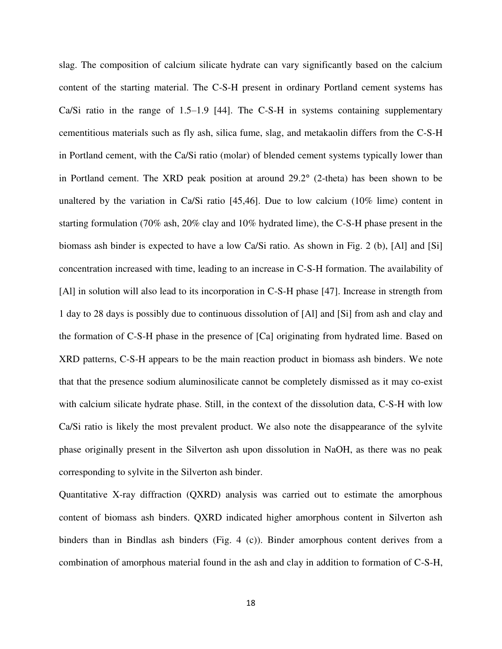slag. The composition of calcium silicate hydrate can vary significantly based on the calcium content of the starting material. The C-S-H present in ordinary Portland cement systems has Ca/Si ratio in the range of  $1.5-1.9$  [44]. The C-S-H in systems containing supplementary cementitious materials such as fly ash, silica fume, slag, and metakaolin differs from the C-S-H in Portland cement, with the Ca/Si ratio (molar) of blended cement systems typically lower than in Portland cement. The XRD peak position at around 29.2° (2-theta) has been shown to be unaltered by the variation in Ca/Si ratio  $[45,46]$ . Due to low calcium  $(10\%$  lime) content in starting formulation (70% ash, 20% clay and 10% hydrated lime), the C-S-H phase present in the biomass ash binder is expected to have a low Ca/Si ratio. As shown in Fig. 2 (b), [Al] and [Si] concentration increased with time, leading to an increase in C-S-H formation. The availability of [Al] in solution will also lead to its incorporation in C-S-H phase [47]. Increase in strength from 1 day to 28 days is possibly due to continuous dissolution of [Al] and [Si] from ash and clay and the formation of C-S-H phase in the presence of [Ca] originating from hydrated lime. Based on XRD patterns, C-S-H appears to be the main reaction product in biomass ash binders. We note that that the presence sodium aluminosilicate cannot be completely dismissed as it may co-exist with calcium silicate hydrate phase. Still, in the context of the dissolution data, C-S-H with low Ca/Si ratio is likely the most prevalent product. We also note the disappearance of the sylvite phase originally present in the Silverton ash upon dissolution in NaOH, as there was no peak corresponding to sylvite in the Silverton ash binder.

Quantitative X-ray diffraction (QXRD) analysis was carried out to estimate the amorphous content of biomass ash binders. QXRD indicated higher amorphous content in Silverton ash binders than in Bindlas ash binders (Fig. 4 (c)). Binder amorphous content derives from a combination of amorphous material found in the ash and clay in addition to formation of C-S-H,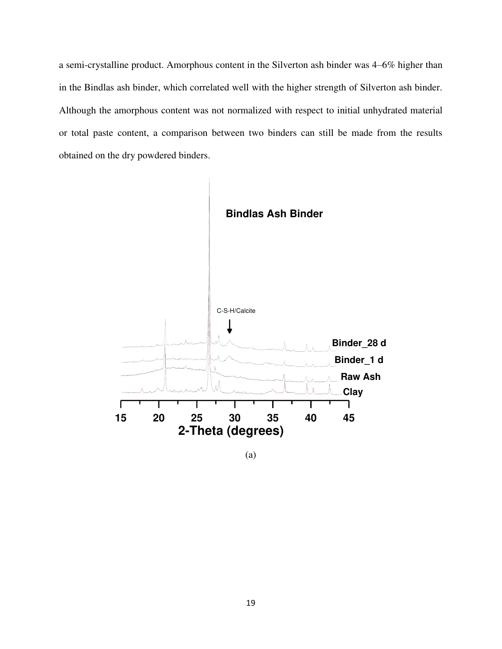a semi-crystalline product. Amorphous content in the Silverton ash binder was 4–6% higher than in the Bindlas ash binder, which correlated well with the higher strength of Silverton ash binder. Although the amorphous content was not normalized with respect to initial unhydrated material or total paste content, a comparison between two binders can still be made from the results obtained on the dry powdered binders.



(a)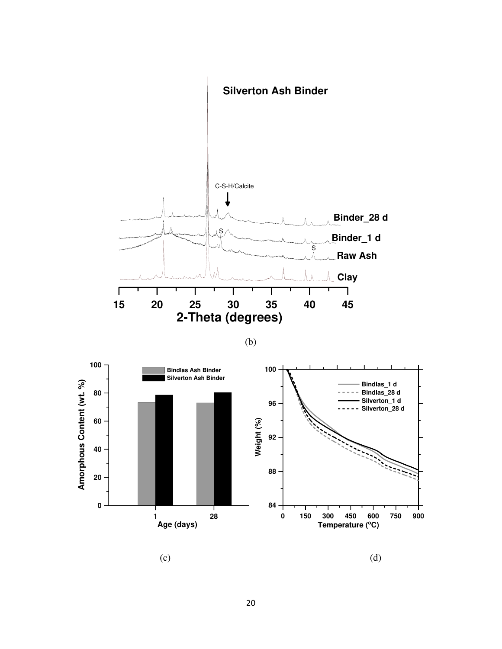

(b)



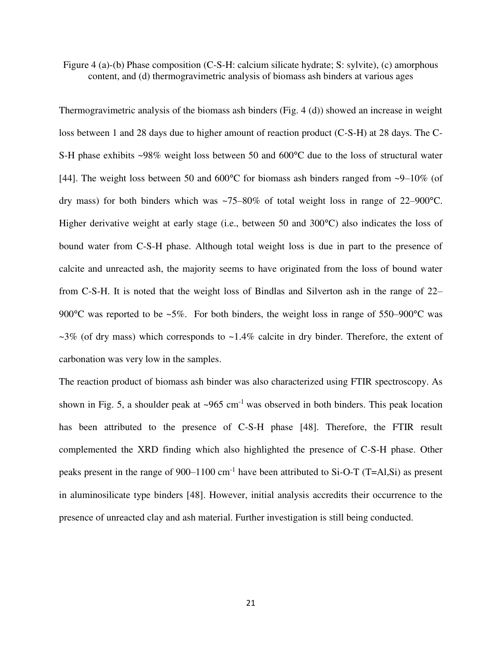Figure 4 (a)-(b) Phase composition (C-S-H: calcium silicate hydrate; S: sylvite), (c) amorphous content, and (d) thermogravimetric analysis of biomass ash binders at various ages

Thermogravimetric analysis of the biomass ash binders (Fig. 4 (d)) showed an increase in weight loss between 1 and 28 days due to higher amount of reaction product (C-S-H) at 28 days. The C-S-H phase exhibits ~98% weight loss between 50 and 600°C due to the loss of structural water [44]. The weight loss between 50 and 600°C for biomass ash binders ranged from ~9–10% (of dry mass) for both binders which was ~75–80% of total weight loss in range of 22–900°C. Higher derivative weight at early stage (i.e., between 50 and 300°C) also indicates the loss of bound water from C-S-H phase. Although total weight loss is due in part to the presence of calcite and unreacted ash, the majority seems to have originated from the loss of bound water from C-S-H. It is noted that the weight loss of Bindlas and Silverton ash in the range of 22– 900 $^{\circ}$ C was reported to be ~5%. For both binders, the weight loss in range of 550–900 $^{\circ}$ C was  $\sim$ 3% (of dry mass) which corresponds to  $\sim$ 1.4% calcite in dry binder. Therefore, the extent of carbonation was very low in the samples.

The reaction product of biomass ash binder was also characterized using FTIR spectroscopy. As shown in Fig. 5, a shoulder peak at  $\sim 965$  cm<sup>-1</sup> was observed in both binders. This peak location has been attributed to the presence of C-S-H phase [48]. Therefore, the FTIR result complemented the XRD finding which also highlighted the presence of C-S-H phase. Other peaks present in the range of  $900-1100$  cm<sup>-1</sup> have been attributed to Si-O-T (T=Al,Si) as present in aluminosilicate type binders [48]. However, initial analysis accredits their occurrence to the presence of unreacted clay and ash material. Further investigation is still being conducted.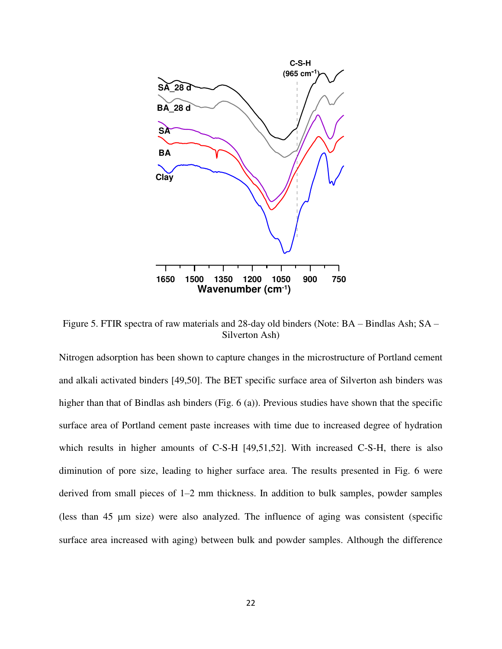

Figure 5. FTIR spectra of raw materials and 28-day old binders (Note: BA – Bindlas Ash; SA – Silverton Ash)

Nitrogen adsorption has been shown to capture changes in the microstructure of Portland cement and alkali activated binders [49,50]. The BET specific surface area of Silverton ash binders was higher than that of Bindlas ash binders (Fig. 6 (a)). Previous studies have shown that the specific surface area of Portland cement paste increases with time due to increased degree of hydration which results in higher amounts of C-S-H [49,51,52]. With increased C-S-H, there is also diminution of pore size, leading to higher surface area. The results presented in Fig. 6 were derived from small pieces of 1–2 mm thickness. In addition to bulk samples, powder samples (less than  $45 \mu m$  size) were also analyzed. The influence of aging was consistent (specific surface area increased with aging) between bulk and powder samples. Although the difference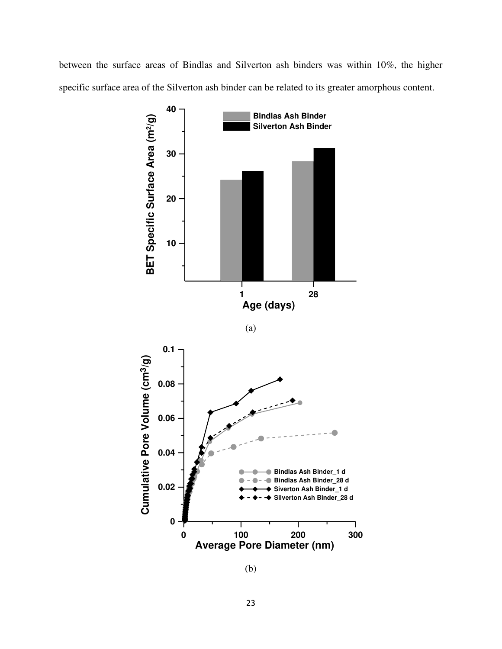between the surface areas of Bindlas and Silverton ash binders was within 10%, the higher specific surface area of the Silverton ash binder can be related to its greater amorphous content.







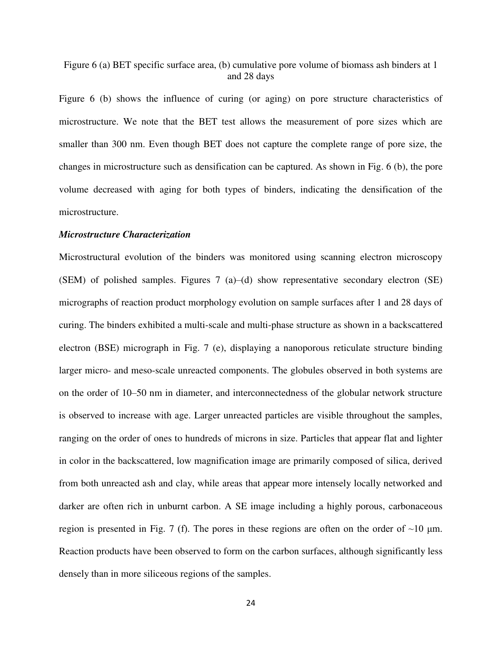Figure 6 (a) BET specific surface area, (b) cumulative pore volume of biomass ash binders at 1 and 28 days

Figure 6 (b) shows the influence of curing (or aging) on pore structure characteristics of microstructure. We note that the BET test allows the measurement of pore sizes which are smaller than 300 nm. Even though BET does not capture the complete range of pore size, the changes in microstructure such as densification can be captured. As shown in Fig. 6 (b), the pore volume decreased with aging for both types of binders, indicating the densification of the microstructure.

# *Microstructure Characterization*

Microstructural evolution of the binders was monitored using scanning electron microscopy (SEM) of polished samples. Figures 7 (a)–(d) show representative secondary electron (SE) micrographs of reaction product morphology evolution on sample surfaces after 1 and 28 days of curing. The binders exhibited a multi-scale and multi-phase structure as shown in a backscattered electron (BSE) micrograph in Fig. 7 (e), displaying a nanoporous reticulate structure binding larger micro- and meso-scale unreacted components. The globules observed in both systems are on the order of 10–50 nm in diameter, and interconnectedness of the globular network structure is observed to increase with age. Larger unreacted particles are visible throughout the samples, ranging on the order of ones to hundreds of microns in size. Particles that appear flat and lighter in color in the backscattered, low magnification image are primarily composed of silica, derived from both unreacted ash and clay, while areas that appear more intensely locally networked and darker are often rich in unburnt carbon. A SE image including a highly porous, carbonaceous region is presented in Fig. 7 (f). The pores in these regions are often on the order of  $\sim$ 10  $\mu$ m. Reaction products have been observed to form on the carbon surfaces, although significantly less densely than in more siliceous regions of the samples.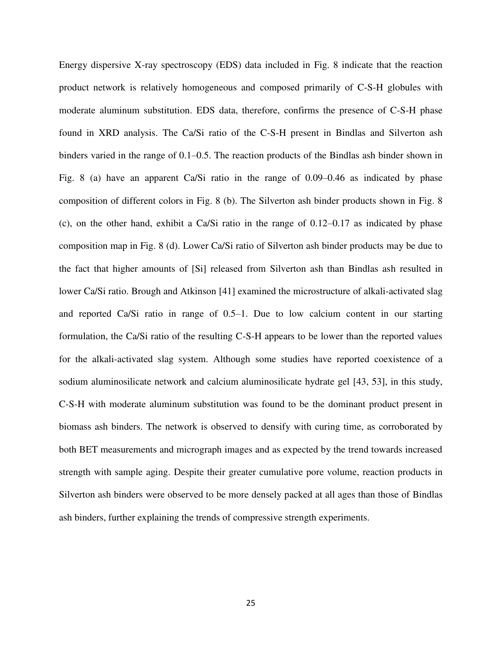Energy dispersive X-ray spectroscopy (EDS) data included in Fig. 8 indicate that the reaction product network is relatively homogeneous and composed primarily of C-S-H globules with moderate aluminum substitution. EDS data, therefore, confirms the presence of C-S-H phase found in XRD analysis. The Ca/Si ratio of the C-S-H present in Bindlas and Silverton ash binders varied in the range of 0.1–0.5. The reaction products of the Bindlas ash binder shown in Fig. 8 (a) have an apparent Ca/Si ratio in the range of 0.09–0.46 as indicated by phase composition of different colors in Fig. 8 (b). The Silverton ash binder products shown in Fig. 8 (c), on the other hand, exhibit a Ca/Si ratio in the range of  $0.12-0.17$  as indicated by phase composition map in Fig. 8 (d). Lower Ca/Si ratio of Silverton ash binder products may be due to the fact that higher amounts of [Si] released from Silverton ash than Bindlas ash resulted in lower Ca/Si ratio. Brough and Atkinson [41] examined the microstructure of alkali-activated slag and reported Ca/Si ratio in range of 0.5–1. Due to low calcium content in our starting formulation, the Ca/Si ratio of the resulting C-S-H appears to be lower than the reported values for the alkali-activated slag system. Although some studies have reported coexistence of a sodium aluminosilicate network and calcium aluminosilicate hydrate gel [43, 53], in this study, C-S-H with moderate aluminum substitution was found to be the dominant product present in biomass ash binders. The network is observed to densify with curing time, as corroborated by both BET measurements and micrograph images and as expected by the trend towards increased strength with sample aging. Despite their greater cumulative pore volume, reaction products in Silverton ash binders were observed to be more densely packed at all ages than those of Bindlas ash binders, further explaining the trends of compressive strength experiments.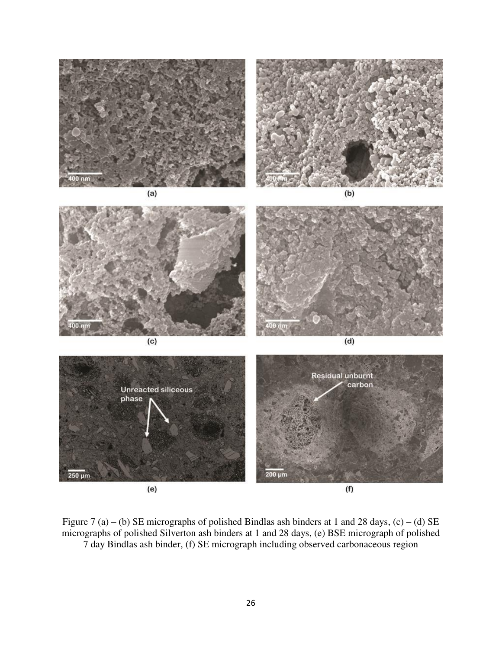

Figure 7 (a) – (b) SE micrographs of polished Bindlas ash binders at 1 and 28 days, (c) – (d) SE micrographs of polished Silverton ash binders at 1 and 28 days, (e) BSE micrograph of polished 7 day Bindlas ash binder, (f) SE micrograph including observed carbonaceous region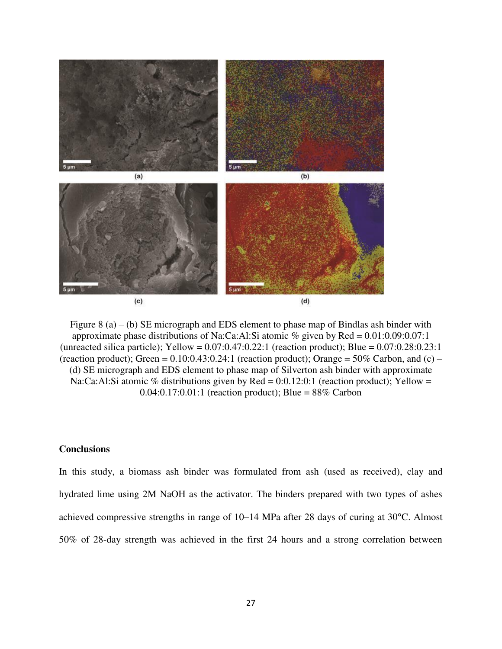

Figure 8 (a) – (b) SE micrograph and EDS element to phase map of Bindlas ash binder with approximate phase distributions of Na:Ca:Al:Si atomic % given by Red =  $0.01:0.09:0.07:1$ (unreacted silica particle); Yellow =  $0.07:0.47:0.22:1$  (reaction product); Blue =  $0.07:0.28:0.23:1$ (reaction product); Green =  $0.10:0.43:0.24:1$  (reaction product); Orange =  $50\%$  Carbon, and (c) – (d) SE micrograph and EDS element to phase map of Silverton ash binder with approximate Na:Ca:Al:Si atomic % distributions given by Red =  $0:0.12:0:1$  (reaction product); Yellow = 0.04:0.17:0.01:1 (reaction product); Blue =  $88\%$  Carbon

# **Conclusions**

In this study, a biomass ash binder was formulated from ash (used as received), clay and hydrated lime using 2M NaOH as the activator. The binders prepared with two types of ashes achieved compressive strengths in range of 10–14 MPa after 28 days of curing at 30°C. Almost 50% of 28-day strength was achieved in the first 24 hours and a strong correlation between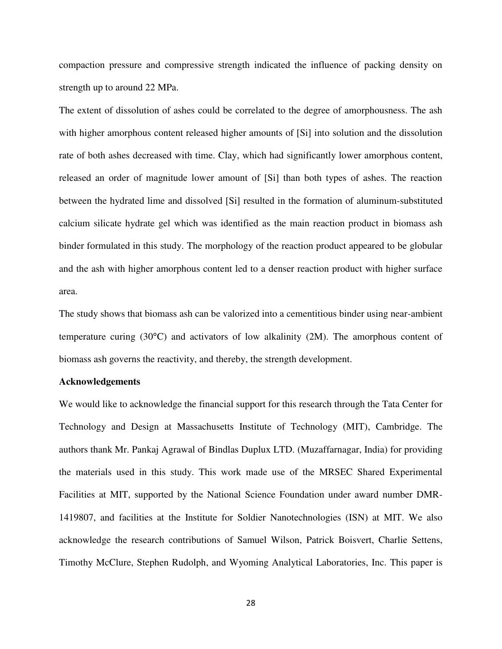compaction pressure and compressive strength indicated the influence of packing density on strength up to around 22 MPa.

The extent of dissolution of ashes could be correlated to the degree of amorphousness. The ash with higher amorphous content released higher amounts of [Si] into solution and the dissolution rate of both ashes decreased with time. Clay, which had significantly lower amorphous content, released an order of magnitude lower amount of [Si] than both types of ashes. The reaction between the hydrated lime and dissolved [Si] resulted in the formation of aluminum-substituted calcium silicate hydrate gel which was identified as the main reaction product in biomass ash binder formulated in this study. The morphology of the reaction product appeared to be globular and the ash with higher amorphous content led to a denser reaction product with higher surface area.

The study shows that biomass ash can be valorized into a cementitious binder using near-ambient temperature curing (30°C) and activators of low alkalinity (2M). The amorphous content of biomass ash governs the reactivity, and thereby, the strength development.

#### **Acknowledgements**

We would like to acknowledge the financial support for this research through the Tata Center for Technology and Design at Massachusetts Institute of Technology (MIT), Cambridge. The authors thank Mr. Pankaj Agrawal of Bindlas Duplux LTD. (Muzaffarnagar, India) for providing the materials used in this study. This work made use of the MRSEC Shared Experimental Facilities at MIT, supported by the National Science Foundation under award number DMR-1419807, and facilities at the Institute for Soldier Nanotechnologies (ISN) at MIT. We also acknowledge the research contributions of Samuel Wilson, Patrick Boisvert, Charlie Settens, Timothy McClure, Stephen Rudolph, and Wyoming Analytical Laboratories, Inc. This paper is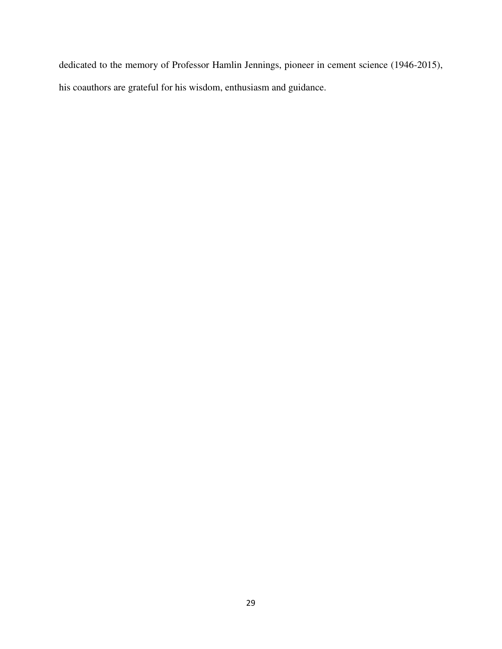dedicated to the memory of Professor Hamlin Jennings, pioneer in cement science (1946-2015), his coauthors are grateful for his wisdom, enthusiasm and guidance.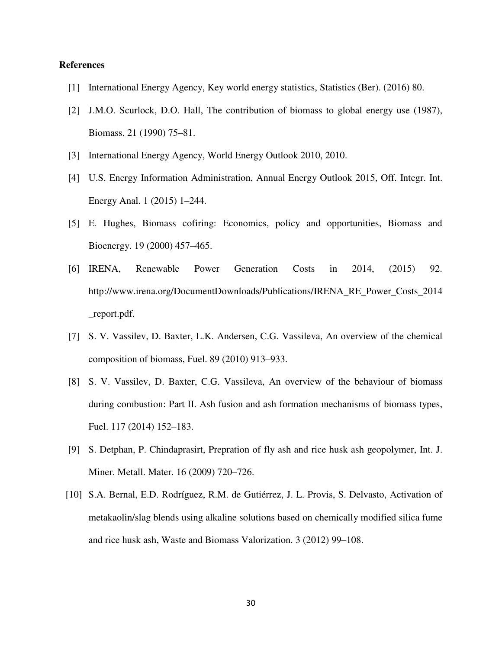# **References**

- [1] International Energy Agency, Key world energy statistics, Statistics (Ber). (2016) 80.
- [2] J.M.O. Scurlock, D.O. Hall, The contribution of biomass to global energy use (1987), Biomass. 21 (1990) 75–81.
- [3] International Energy Agency, World Energy Outlook 2010, 2010.
- [4] U.S. Energy Information Administration, Annual Energy Outlook 2015, Off. Integr. Int. Energy Anal. 1 (2015) 1–244.
- [5] E. Hughes, Biomass cofiring: Economics, policy and opportunities, Biomass and Bioenergy. 19 (2000) 457–465.
- [6] IRENA, Renewable Power Generation Costs in 2014, (2015) 92. http://www.irena.org/DocumentDownloads/Publications/IRENA\_RE\_Power\_Costs\_2014 \_report.pdf.
- [7] S. V. Vassilev, D. Baxter, L.K. Andersen, C.G. Vassileva, An overview of the chemical composition of biomass, Fuel. 89 (2010) 913–933.
- [8] S. V. Vassilev, D. Baxter, C.G. Vassileva, An overview of the behaviour of biomass during combustion: Part II. Ash fusion and ash formation mechanisms of biomass types, Fuel. 117 (2014) 152–183.
- [9] S. Detphan, P. Chindaprasirt, Prepration of fly ash and rice husk ash geopolymer, Int. J. Miner. Metall. Mater. 16 (2009) 720–726.
- [10] S.A. Bernal, E.D. Rodríguez, R.M. de Gutiérrez, J. L. Provis, S. Delvasto, Activation of metakaolin/slag blends using alkaline solutions based on chemically modified silica fume and rice husk ash, Waste and Biomass Valorization. 3 (2012) 99–108.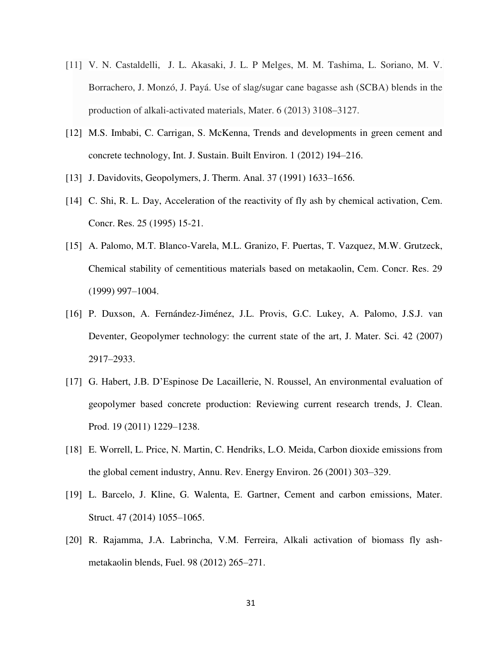- [11] V. N. Castaldelli, J. L. Akasaki, J. L. P Melges, M. M. Tashima, L. Soriano, M. V. Borrachero, J. Monzó, J. Payá. Use of slag/sugar cane bagasse ash (SCBA) blends in the production of alkali-activated materials, Mater. 6 (2013) 3108–3127.
- [12] M.S. Imbabi, C. Carrigan, S. McKenna, Trends and developments in green cement and concrete technology, Int. J. Sustain. Built Environ. 1 (2012) 194–216.
- [13] J. Davidovits, Geopolymers, J. Therm. Anal. 37 (1991) 1633–1656.
- [14] C. Shi, R. L. Day, Acceleration of the reactivity of fly ash by chemical activation, Cem. Concr. Res. 25 (1995) 15-21.
- [15] A. Palomo, M.T. Blanco-Varela, M.L. Granizo, F. Puertas, T. Vazquez, M.W. Grutzeck, Chemical stability of cementitious materials based on metakaolin, Cem. Concr. Res. 29 (1999) 997–1004.
- [16] P. Duxson, A. Fernández-Jiménez, J.L. Provis, G.C. Lukey, A. Palomo, J.S.J. van Deventer, Geopolymer technology: the current state of the art, J. Mater. Sci. 42 (2007) 2917–2933.
- [17] G. Habert, J.B. D'Espinose De Lacaillerie, N. Roussel, An environmental evaluation of geopolymer based concrete production: Reviewing current research trends, J. Clean. Prod. 19 (2011) 1229–1238.
- [18] E. Worrell, L. Price, N. Martin, C. Hendriks, L.O. Meida, Carbon dioxide emissions from the global cement industry, Annu. Rev. Energy Environ. 26 (2001) 303–329.
- [19] L. Barcelo, J. Kline, G. Walenta, E. Gartner, Cement and carbon emissions, Mater. Struct. 47 (2014) 1055–1065.
- [20] R. Rajamma, J.A. Labrincha, V.M. Ferreira, Alkali activation of biomass fly ashmetakaolin blends, Fuel. 98 (2012) 265–271.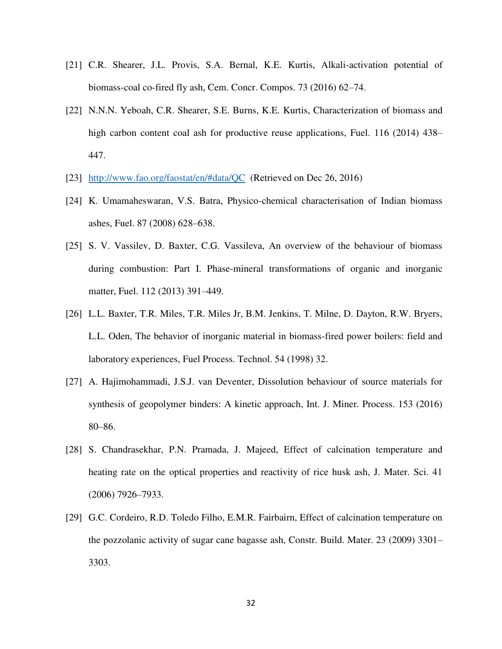- [21] C.R. Shearer, J.L. Provis, S.A. Bernal, K.E. Kurtis, Alkali-activation potential of biomass-coal co-fired fly ash, Cem. Concr. Compos. 73 (2016) 62–74.
- [22] N.N.N. Yeboah, C.R. Shearer, S.E. Burns, K.E. Kurtis, Characterization of biomass and high carbon content coal ash for productive reuse applications, Fuel. 116 (2014) 438– 447.
- [23] <http://www.fao.org/faostat/en/#data/QC>(Retrieved on Dec 26, 2016)
- [24] K. Umamaheswaran, V.S. Batra, Physico-chemical characterisation of Indian biomass ashes, Fuel. 87 (2008) 628–638.
- [25] S. V. Vassilev, D. Baxter, C.G. Vassileva, An overview of the behaviour of biomass during combustion: Part I. Phase-mineral transformations of organic and inorganic matter, Fuel. 112 (2013) 391–449.
- [26] L.L. Baxter, T.R. Miles, T.R. Miles Jr, B.M. Jenkins, T. Milne, D. Dayton, R.W. Bryers, L.L. Oden, The behavior of inorganic material in biomass-fired power boilers: field and laboratory experiences, Fuel Process. Technol. 54 (1998) 32.
- [27] A. Hajimohammadi, J.S.J. van Deventer, Dissolution behaviour of source materials for synthesis of geopolymer binders: A kinetic approach, Int. J. Miner. Process. 153 (2016) 80–86.
- [28] S. Chandrasekhar, P.N. Pramada, J. Majeed, Effect of calcination temperature and heating rate on the optical properties and reactivity of rice husk ash, J. Mater. Sci. 41 (2006) 7926–7933.
- [29] G.C. Cordeiro, R.D. Toledo Filho, E.M.R. Fairbairn, Effect of calcination temperature on the pozzolanic activity of sugar cane bagasse ash, Constr. Build. Mater. 23 (2009) 3301– 3303.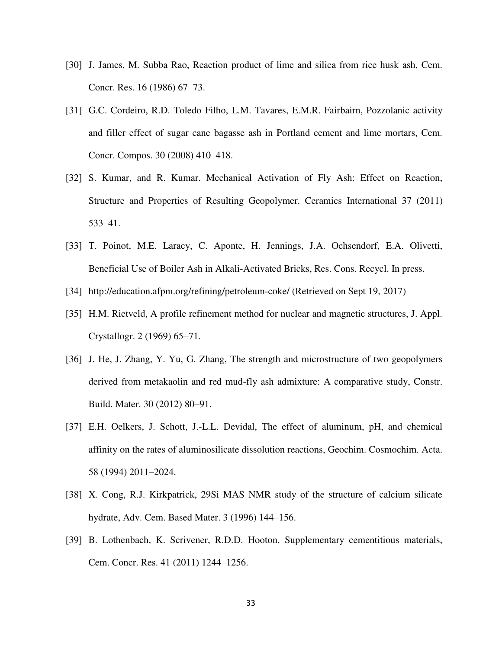- [30] J. James, M. Subba Rao, Reaction product of lime and silica from rice husk ash, Cem. Concr. Res. 16 (1986) 67–73.
- [31] G.C. Cordeiro, R.D. Toledo Filho, L.M. Tavares, E.M.R. Fairbairn, Pozzolanic activity and filler effect of sugar cane bagasse ash in Portland cement and lime mortars, Cem. Concr. Compos. 30 (2008) 410–418.
- [32] S. Kumar, and R. Kumar. Mechanical Activation of Fly Ash: Effect on Reaction, Structure and Properties of Resulting Geopolymer. Ceramics International 37 (2011) 533–41.
- [33] T. Poinot, M.E. Laracy, C. Aponte, H. Jennings, J.A. Ochsendorf, E.A. Olivetti, Beneficial Use of Boiler Ash in Alkali-Activated Bricks, Res. Cons. Recycl. In press.
- [34] http://education.afpm.org/refining/petroleum-coke/ (Retrieved on Sept 19, 2017)
- [35] H.M. Rietveld, A profile refinement method for nuclear and magnetic structures, J. Appl. Crystallogr. 2 (1969) 65–71.
- [36] J. He, J. Zhang, Y. Yu, G. Zhang, The strength and microstructure of two geopolymers derived from metakaolin and red mud-fly ash admixture: A comparative study, Constr. Build. Mater. 30 (2012) 80–91.
- [37] E.H. Oelkers, J. Schott, J.-L.L. Devidal, The effect of aluminum, pH, and chemical affinity on the rates of aluminosilicate dissolution reactions, Geochim. Cosmochim. Acta. 58 (1994) 2011–2024.
- [38] X. Cong, R.J. Kirkpatrick, 29Si MAS NMR study of the structure of calcium silicate hydrate, Adv. Cem. Based Mater. 3 (1996) 144–156.
- [39] B. Lothenbach, K. Scrivener, R.D.D. Hooton, Supplementary cementitious materials, Cem. Concr. Res. 41 (2011) 1244–1256.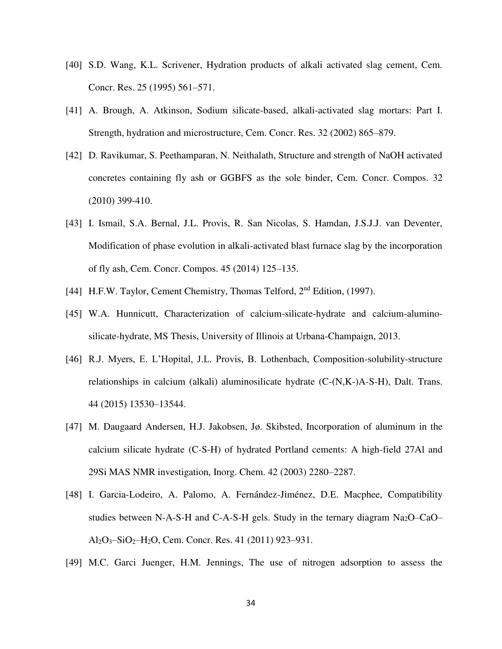- [40] S.D. Wang, K.L. Scrivener, Hydration products of alkali activated slag cement, Cem. Concr. Res. 25 (1995) 561–571.
- [41] A. Brough, A. Atkinson, Sodium silicate-based, alkali-activated slag mortars: Part I. Strength, hydration and microstructure, Cem. Concr. Res. 32 (2002) 865–879.
- [42] D. Ravikumar, S. Peethamparan, N. Neithalath, Structure and strength of NaOH activated concretes containing fly ash or GGBFS as the sole binder, Cem. Concr. Compos. 32 (2010) 399-410.
- [43] I. Ismail, S.A. Bernal, J.L. Provis, R. San Nicolas, S. Hamdan, J.S.J.J. van Deventer, Modification of phase evolution in alkali-activated blast furnace slag by the incorporation of fly ash, Cem. Concr. Compos. 45 (2014) 125–135.
- [44] H.F.W. Taylor, Cement Chemistry, Thomas Telford, 2<sup>nd</sup> Edition, (1997).
- [45] W.A. Hunnicutt, Characterization of calcium-silicate-hydrate and calcium-aluminosilicate-hydrate, MS Thesis, University of Illinois at Urbana-Champaign, 2013.
- [46] R.J. Myers, E. L'Hopital, J.L. Provis, B. Lothenbach, Composition-solubility-structure relationships in calcium (alkali) aluminosilicate hydrate (C-(N,K-)A-S-H), Dalt. Trans. 44 (2015) 13530–13544.
- [47] M. Daugaard Andersen, H.J. Jakobsen, Jø. Skibsted, Incorporation of aluminum in the calcium silicate hydrate (C-S-H) of hydrated Portland cements: A high-field 27Al and 29Si MAS NMR investigation, Inorg. Chem. 42 (2003) 2280–2287.
- [48] I. Garcia-Lodeiro, A. Palomo, A. Fernández-Jiménez, D.E. Macphee, Compatibility studies between N-A-S-H and C-A-S-H gels. Study in the ternary diagram  $Na<sub>2</sub>O–CaO–$ Al2O3–SiO2–H2O, Cem. Concr. Res. 41 (2011) 923–931.
- [49] M.C. Garci Juenger, H.M. Jennings, The use of nitrogen adsorption to assess the